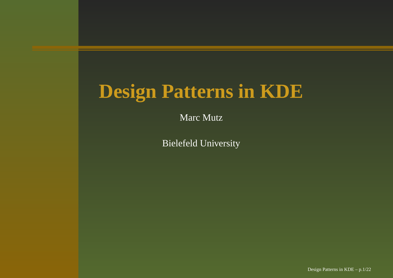## **Design Patterns in KDE**

Marc Mutz

Bielefeld University

Design Patterns in KDE – p.1/22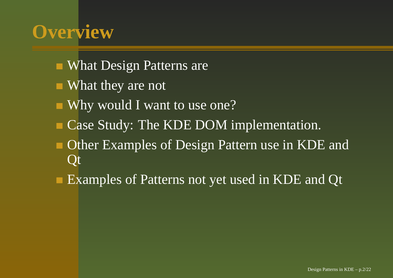### **Overview**

- What Design Patterns are
- What they are not
- Why would I want to use one?
- Case Study: The KDE DOM implementation.
- Other Examples of Design Pattern use in KDE and **Ot**
- Examples of Patterns not ye<sup>t</sup> used in KDE and Qt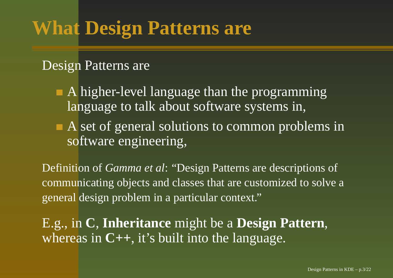## **What Design Patterns are**

#### Design Patterns are

- A higher-level language than the programming language to talk about software systems in,
- A set of general solutions to common problems in software engineering,

Definition of *Gamma et al*: "Design Patterns are descriptions of communicating objects and classes that are customized to solve <sup>a</sup> general design problem in <sup>a</sup> particular context."

E.g., in **C**, **Inheritance** might be <sup>a</sup> **Design Pattern**, whereas in **C++**, it's built into the language.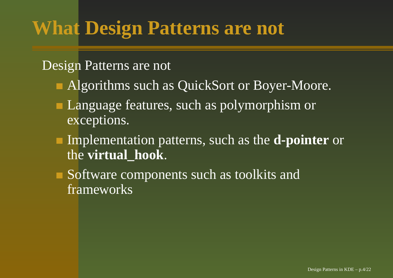## **What Design Patterns are not**

#### Design Patterns are not

- Algorithms such as QuickSort or Boyer-Moore.
- Language features, such as polymorphism or exceptions.
- Implementation patterns, such as the **d-pointer** or the **virtual\_hook**.
- Software components such as toolkits and frameworks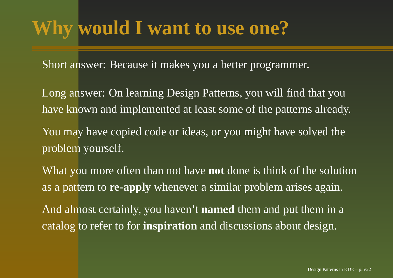## **Why would I want to use one?**

Short answer: Because it makes you <sup>a</sup> better programmer.

Long answer: On learning Design Patterns, you will find that you have known and implemented at least some of the patterns already.

You may have copied code or ideas, or you might have solved the problem yourself.

What you more often than not have **not** done is think of the solution as a pattern to **re-apply** whenever <sup>a</sup> similar problem arises again.

And almost certainly, you haven't **named** them and pu<sup>t</sup> them in <sup>a</sup> catalog to refer to for **inspiration** and discussions about design.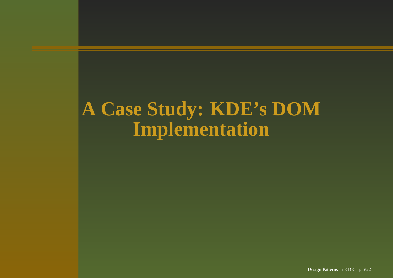#### **A Case Study: KDE' <sup>s</sup> DOM Implementation**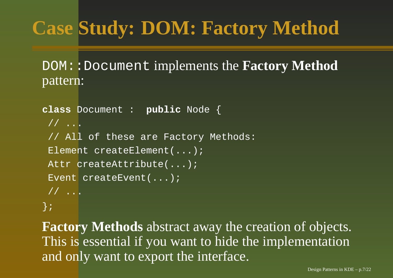# **Case Study: DOM: Factory Method**

DOM::Document implements the **Factory Method** pattern:

```
class Document : public Node {
 // ...
 // All of these are Factory Methods:
 Element createElement(...);
 Attr createAttribute(...);
 Event createEvent(...);
// ...
};
```
**Factory Methods** abstract away the creation of objects. This is essential if you want to hide the implementation and only want to expor<sup>t</sup> the interface.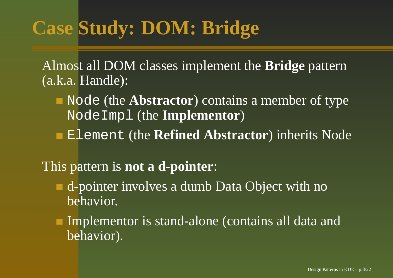# **Case Study: DOM: Bridge**

Almost all DOM classes implement the **Bridge** pattern (a.k.a. Handle):

- Node (the **Abstractor**) contains <sup>a</sup> member of type NodeImpl (the **Implementor**)
- Element (the **Refined Abstractor**) inherits Node

#### This pattern is **not <sup>a</sup> d-pointer**:

- d-pointer involves <sup>a</sup> dumb Data Object with no behavior.
- Implementor is stand-alone (contains all data and behavior).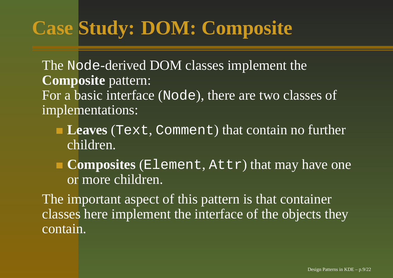# **Case Study: DOM: Composite**

The Node-derived DOM classes implement the **Composite** pattern: For a basic interface (Node), there are two classes of implementations:

- **Leaves** (Text, Comment) that contain no further children.
- **Composites** (Element, Attr) that may have one or more children.

The important aspec<sup>t</sup> of this pattern is that container classes here implement the interface of the objects they contain.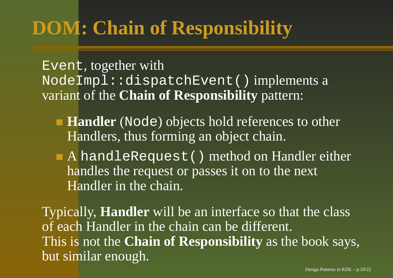## **DOM: Chain of Responsibility**

Event, together with NodeImpl::dispatchEvent() implements <sup>a</sup> variant of the **Chain of Responsibility** pattern:

- **Handler** (Node) objects hold references to other Handlers, thus forming an object chain.
- A handleRequest() method on Handler either handles the reques<sup>t</sup> or passes it on to the next Handler in the chain.

Typically, **Handler** will be an interface so that the class of each Handler in the chain can be different. This is not the **Chain of Responsibility** as the book says, but similar enough.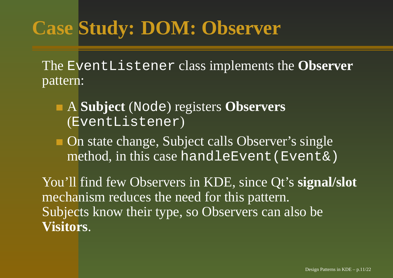## **Case Study: DOM: Observer**

The EventListener class implements the **Observer** pattern:

- A **Subject** (Node) registers **Observers** (EventListener)
- On state change, Subject calls Observer's single method, in this case handleEvent(Event&)

You'll find few Observers in KDE, since Qt's **signal/slot** mechanism reduces the need for this pattern. Subjects know their type, so Observers can also be **Visitors**.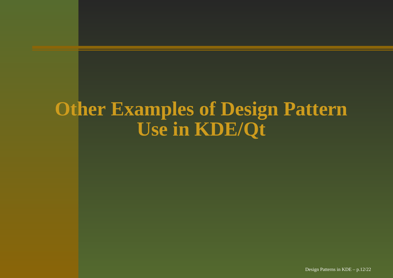### **Other Examples of Design Pattern Use in KDE/Qt**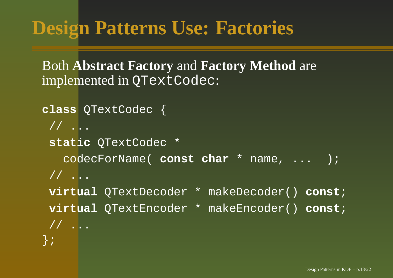#### **Design Patterns Use: Factories**

Both **Abstract Factory** and **Factory Method** are implemented in QTextCodec:

```
class QTextCodec {
// ...
 static QTextCodec *
  codecForName( const char * name, ... );
// ...
virtual QTextDecoder * makeDecoder() const;
virtual QTextEncoder * makeEncoder() const;
// ...
};
```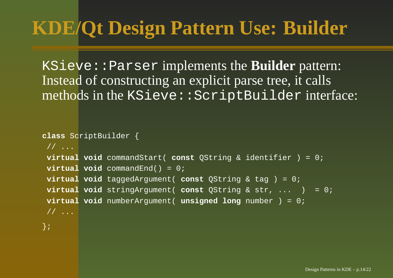## **KDE/Qt Design Pattern Use: Builder**

KSieve::Parser implements the **Builder** pattern: Instead of constructing an explicit parse tree, it calls methods in the KSieve::ScriptBuilder interface:

```
class ScriptBuilder {
// ...
virtual void commandStart( const QString & identifier ) = 0;
virtual void commandEnd() = 0;
virtual void taggedArgument( const QString & tag ) = 0;
virtual void stringArgument( const QString & str, ... ) = 0;
virtual void numberArgument( unsigned long number ) = 0;
```
};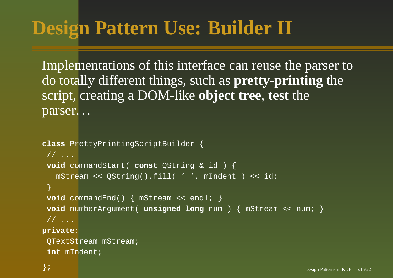## **Design Pattern Use: Builder II**

Implementations of this interface can reuse the parser to do totally different things, such as **pretty-printing** the script, creating <sup>a</sup> DOM-like **object tree**, **test** the parser. . .

```
class PrettyPrintingScriptBuilder {
 // ...
 void commandStart( const QString & id ) {
   mStream << QString().fill( ' ', mIndent ) << id;
 }
 void commandEnd() { mStream << endl; }
 void numberArgument( unsigned long num ) { mStream << num; }
 // ...
private:
```
QTextStream mStream; **int** mIndent;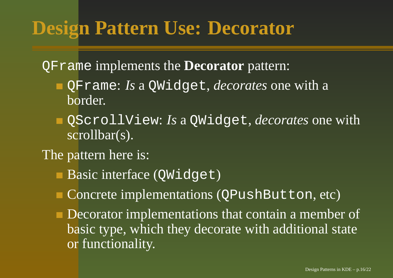### **Design Pattern Use: Decorator**

QFrame implements the **Decorator** pattern:

- QFrame: *Is* <sup>a</sup> QWidget, *decorates* one with <sup>a</sup> border.
- QScrollView: *Is* <sup>a</sup> QWidget, *decorates* one with scrollbar(s).
- The pattern here is:
	- Basic interface (QWidget)
	- Concrete implementations (QPushButton, etc)
	- Decorator implementations that contain <sup>a</sup> member of basic type, which they decorate with additional state or functionality.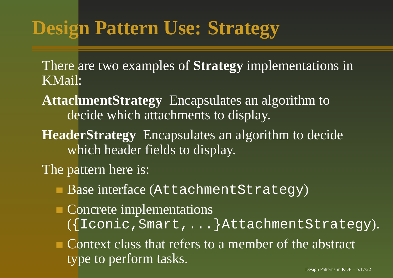### **Design Pattern Use: Strategy**

There are two examples of **Strategy** implementations in KMail:

**AttachmentStrategy** Encapsulates an algorithm to decide which attachments to display.

**HeaderStrategy** Encapsulates an algorithm to decide which header fields to display.

The pattern here is:

Base interface (AttachmentStrategy)

Concrete implementations ({Iconic,Smart,...}AttachmentStrategy).

Context class that refers to <sup>a</sup> member of the abstract type to perform tasks.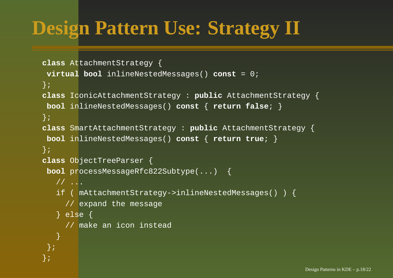## **Design Pattern Use: Strategy II**

```
class AttachmentStrategy {
 virtual bool inlineNestedMessages() const = 0;
};
class IconicAttachmentStrategy : public AttachmentStrategy {
 bool inlineNestedMessages() const { return false; }
};
class SmartAttachmentStrategy : public AttachmentStrategy {
 bool inlineNestedMessages() const { return true; }
};
class ObjectTreeParser {
 bool processMessageRfc822Subtype(...) {
   // ...
   if ( mAttachmentStrategy->inlineNestedMessages() ) {
     // expand the message
   } else {
     // make an icon instead
   }
 };
};
```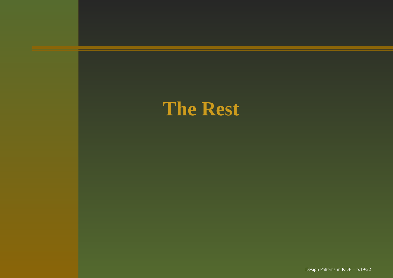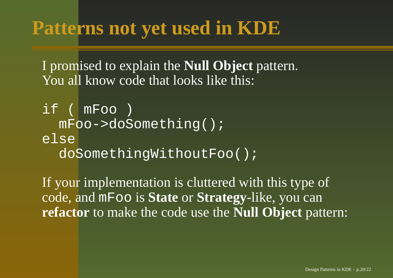#### **Patterns not yet used in KDE**

I promised to explain the **Null Object** pattern. You all know code that looks like this:

```
if ( mFoo )
 mFoo->doSomething();
elsedoSomethingWithoutFoo();
```
If your implementation is cluttered with this type of code, and mFoo is **State** or **Strategy**-like, you can **refactor** to make the code use the **Null Object** pattern: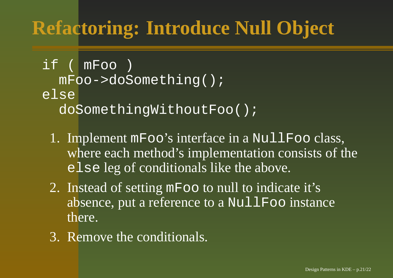## **Refactoring: Introduce Null Object**

if ( mFoo ) mFoo->doSomething(); elsedoSomethingWithoutFoo();

- 1. Implement mFoo's interface in <sup>a</sup> NullFoo class, where each method's implementation consists of the else leg of conditionals like the above.
- 2. Instead of setting mFoo to null to indicate it's absence, put a reference to a NullFoo instance there.
- 3. Remove the conditionals.